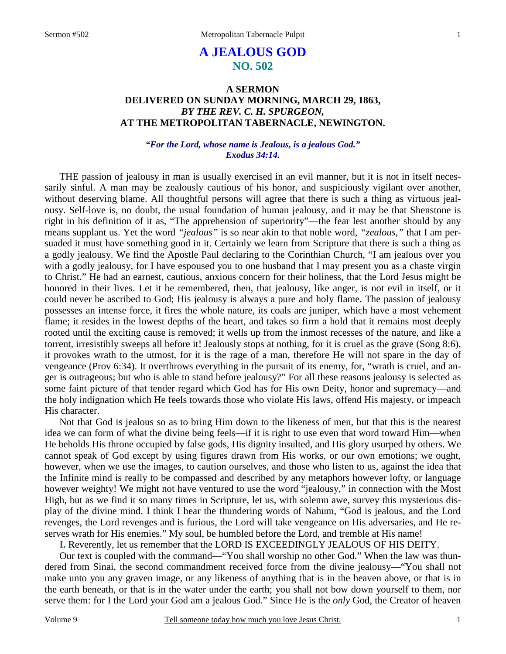# **A JEALOUS GOD NO. 502**

## **A SERMON DELIVERED ON SUNDAY MORNING, MARCH 29, 1863,**  *BY THE REV. C. H. SPURGEON,*  **AT THE METROPOLITAN TABERNACLE, NEWINGTON.**

### *"For the Lord, whose name is Jealous, is a jealous God." Exodus 34:14.*

THE passion of jealousy in man is usually exercised in an evil manner, but it is not in itself necessarily sinful. A man may be zealously cautious of his honor, and suspiciously vigilant over another, without deserving blame. All thoughtful persons will agree that there is such a thing as virtuous jealousy. Self-love is, no doubt, the usual foundation of human jealousy, and it may be that Shenstone is right in his definition of it as, "The apprehension of superiority"—the fear lest another should by any means supplant us. Yet the word *"jealous"* is so near akin to that noble word, *"zealous,"* that I am persuaded it must have something good in it. Certainly we learn from Scripture that there is such a thing as a godly jealousy. We find the Apostle Paul declaring to the Corinthian Church, "I am jealous over you with a godly jealousy, for I have espoused you to one husband that I may present you as a chaste virgin to Christ." He had an earnest, cautious, anxious concern for their holiness, that the Lord Jesus might be honored in their lives. Let it be remembered, then, that jealousy, like anger, is not evil in itself, or it could never be ascribed to God; His jealousy is always a pure and holy flame. The passion of jealousy possesses an intense force, it fires the whole nature, its coals are juniper, which have a most vehement flame; it resides in the lowest depths of the heart, and takes so firm a hold that it remains most deeply rooted until the exciting cause is removed; it wells up from the inmost recesses of the nature, and like a torrent, irresistibly sweeps all before it! Jealously stops at nothing, for it is cruel as the grave (Song 8:6), it provokes wrath to the utmost, for it is the rage of a man, therefore He will not spare in the day of vengeance (Prov 6:34). It overthrows everything in the pursuit of its enemy, for, "wrath is cruel, and anger is outrageous; but who is able to stand before jealousy?" For all these reasons jealousy is selected as some faint picture of that tender regard which God has for His own Deity, honor and supremacy—and the holy indignation which He feels towards those who violate His laws, offend His majesty, or impeach His character.

Not that God is jealous so as to bring Him down to the likeness of men, but that this is the nearest idea we can form of what the divine being feels—if it is right to use even that word toward Him—when He beholds His throne occupied by false gods, His dignity insulted, and His glory usurped by others. We cannot speak of God except by using figures drawn from His works, or our own emotions; we ought, however, when we use the images, to caution ourselves, and those who listen to us, against the idea that the Infinite mind is really to be compassed and described by any metaphors however lofty, or language however weighty! We might not have ventured to use the word "jealousy," in connection with the Most High, but as we find it so many times in Scripture, let us, with solemn awe, survey this mysterious display of the divine mind. I think I hear the thundering words of Nahum, "God is jealous, and the Lord revenges, the Lord revenges and is furious, the Lord will take vengeance on His adversaries, and He reserves wrath for His enemies." My soul, be humbled before the Lord, and tremble at His name!

**I.** Reverently, let us remember that the LORD IS EXCEEDINGLY JEALOUS OF HIS DEITY.

Our text is coupled with the command—"You shall worship no other God." When the law was thundered from Sinai, the second commandment received force from the divine jealousy—"You shall not make unto you any graven image, or any likeness of anything that is in the heaven above, or that is in the earth beneath, or that is in the water under the earth; you shall not bow down yourself to them, nor serve them: for I the Lord your God am a jealous God." Since He is the *only* God, the Creator of heaven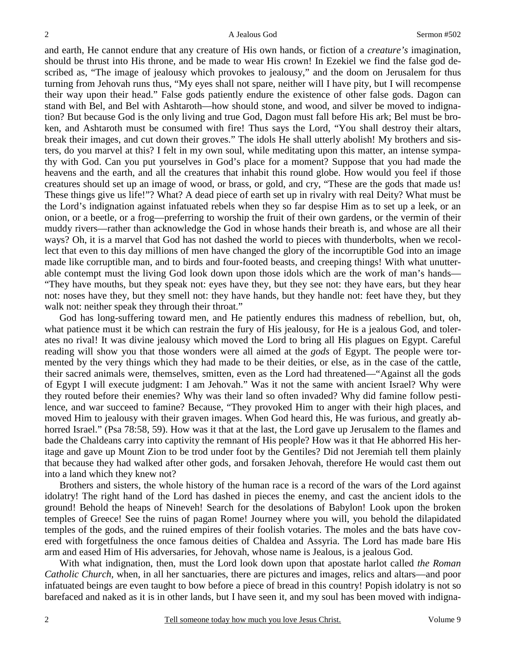and earth, He cannot endure that any creature of His own hands, or fiction of a *creature's* imagination, should be thrust into His throne, and be made to wear His crown! In Ezekiel we find the false god described as, "The image of jealousy which provokes to jealousy," and the doom on Jerusalem for thus turning from Jehovah runs thus, "My eyes shall not spare, neither will I have pity, but I will recompense their way upon their head." False gods patiently endure the existence of other false gods. Dagon can stand with Bel, and Bel with Ashtaroth—how should stone, and wood, and silver be moved to indignation? But because God is the only living and true God, Dagon must fall before His ark; Bel must be broken, and Ashtaroth must be consumed with fire! Thus says the Lord, "You shall destroy their altars, break their images, and cut down their groves." The idols He shall utterly abolish! My brothers and sisters, do you marvel at this? I felt in my own soul, while meditating upon this matter, an intense sympathy with God. Can you put yourselves in God's place for a moment? Suppose that you had made the heavens and the earth, and all the creatures that inhabit this round globe. How would you feel if those creatures should set up an image of wood, or brass, or gold, and cry, "These are the gods that made us! These things give us life!"? What? A dead piece of earth set up in rivalry with real Deity? What must be the Lord's indignation against infatuated rebels when they so far despise Him as to set up a leek, or an onion, or a beetle, or a frog—preferring to worship the fruit of their own gardens, or the vermin of their muddy rivers—rather than acknowledge the God in whose hands their breath is, and whose are all their ways? Oh, it is a marvel that God has not dashed the world to pieces with thunderbolts, when we recollect that even to this day millions of men have changed the glory of the incorruptible God into an image made like corruptible man, and to birds and four-footed beasts, and creeping things! With what unutterable contempt must the living God look down upon those idols which are the work of man's hands— "They have mouths, but they speak not: eyes have they, but they see not: they have ears, but they hear not: noses have they, but they smell not: they have hands, but they handle not: feet have they, but they walk not: neither speak they through their throat."

God has long-suffering toward men, and He patiently endures this madness of rebellion, but, oh, what patience must it be which can restrain the fury of His jealousy, for He is a jealous God, and tolerates no rival! It was divine jealousy which moved the Lord to bring all His plagues on Egypt. Careful reading will show you that those wonders were all aimed at the *gods* of Egypt. The people were tormented by the very things which they had made to be their deities, or else, as in the case of the cattle, their sacred animals were, themselves, smitten, even as the Lord had threatened—"Against all the gods of Egypt I will execute judgment: I am Jehovah." Was it not the same with ancient Israel? Why were they routed before their enemies? Why was their land so often invaded? Why did famine follow pestilence, and war succeed to famine? Because, "They provoked Him to anger with their high places, and moved Him to jealousy with their graven images. When God heard this, He was furious, and greatly abhorred Israel." (Psa 78:58, 59). How was it that at the last, the Lord gave up Jerusalem to the flames and bade the Chaldeans carry into captivity the remnant of His people? How was it that He abhorred His heritage and gave up Mount Zion to be trod under foot by the Gentiles? Did not Jeremiah tell them plainly that because they had walked after other gods, and forsaken Jehovah, therefore He would cast them out into a land which they knew not?

Brothers and sisters, the whole history of the human race is a record of the wars of the Lord against idolatry! The right hand of the Lord has dashed in pieces the enemy, and cast the ancient idols to the ground! Behold the heaps of Nineveh! Search for the desolations of Babylon! Look upon the broken temples of Greece! See the ruins of pagan Rome! Journey where you will, you behold the dilapidated temples of the gods, and the ruined empires of their foolish votaries. The moles and the bats have covered with forgetfulness the once famous deities of Chaldea and Assyria. The Lord has made bare His arm and eased Him of His adversaries, for Jehovah, whose name is Jealous, is a jealous God.

With what indignation, then, must the Lord look down upon that apostate harlot called *the Roman Catholic Church,* when, in all her sanctuaries, there are pictures and images, relics and altars—and poor infatuated beings are even taught to bow before a piece of bread in this country! Popish idolatry is not so barefaced and naked as it is in other lands, but I have seen it, and my soul has been moved with indigna-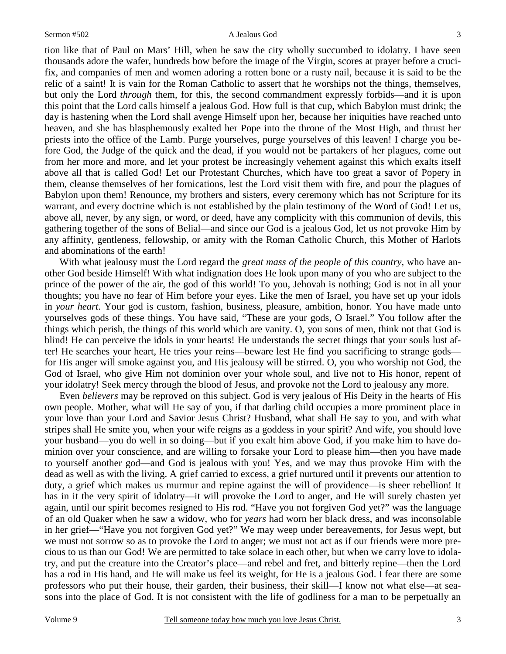3

tion like that of Paul on Mars' Hill, when he saw the city wholly succumbed to idolatry. I have seen thousands adore the wafer, hundreds bow before the image of the Virgin, scores at prayer before a crucifix, and companies of men and women adoring a rotten bone or a rusty nail, because it is said to be the relic of a saint! It is vain for the Roman Catholic to assert that he worships not the things, themselves, but only the Lord *through* them, for this, the second commandment expressly forbids—and it is upon this point that the Lord calls himself a jealous God. How full is that cup, which Babylon must drink; the day is hastening when the Lord shall avenge Himself upon her, because her iniquities have reached unto heaven, and she has blasphemously exalted her Pope into the throne of the Most High, and thrust her priests into the office of the Lamb. Purge yourselves, purge yourselves of this leaven! I charge you before God, the Judge of the quick and the dead, if you would not be partakers of her plagues, come out from her more and more, and let your protest be increasingly vehement against this which exalts itself above all that is called God! Let our Protestant Churches, which have too great a savor of Popery in them, cleanse themselves of her fornications, lest the Lord visit them with fire, and pour the plagues of Babylon upon them! Renounce, my brothers and sisters, every ceremony which has not Scripture for its warrant, and every doctrine which is not established by the plain testimony of the Word of God! Let us, above all, never, by any sign, or word, or deed, have any complicity with this communion of devils, this gathering together of the sons of Belial—and since our God is a jealous God, let us not provoke Him by any affinity, gentleness, fellowship, or amity with the Roman Catholic Church, this Mother of Harlots and abominations of the earth!

With what jealousy must the Lord regard the *great mass of the people of this country,* who have another God beside Himself! With what indignation does He look upon many of you who are subject to the prince of the power of the air, the god of this world! To you, Jehovah is nothing; God is not in all your thoughts; you have no fear of Him before your eyes. Like the men of Israel, you have set up your idols in *your heart*. Your god is custom, fashion, business, pleasure, ambition, honor. You have made unto yourselves gods of these things. You have said, "These are your gods, O Israel." You follow after the things which perish, the things of this world which are vanity. O, you sons of men, think not that God is blind! He can perceive the idols in your hearts! He understands the secret things that your souls lust after! He searches your heart, He tries your reins—beware lest He find you sacrificing to strange gods for His anger will smoke against you, and His jealousy will be stirred. O, you who worship not God, the God of Israel, who give Him not dominion over your whole soul, and live not to His honor, repent of your idolatry! Seek mercy through the blood of Jesus, and provoke not the Lord to jealousy any more.

Even *believers* may be reproved on this subject. God is very jealous of His Deity in the hearts of His own people. Mother, what will He say of you, if that darling child occupies a more prominent place in your love than your Lord and Savior Jesus Christ? Husband, what shall He say to you, and with what stripes shall He smite you, when your wife reigns as a goddess in your spirit? And wife, you should love your husband—you do well in so doing—but if you exalt him above God, if you make him to have dominion over your conscience, and are willing to forsake your Lord to please him—then you have made to yourself another god—and God is jealous with you! Yes, and we may thus provoke Him with the dead as well as with the living. A grief carried to excess, a grief nurtured until it prevents our attention to duty, a grief which makes us murmur and repine against the will of providence—is sheer rebellion! It has in it the very spirit of idolatry—it will provoke the Lord to anger, and He will surely chasten yet again, until our spirit becomes resigned to His rod. "Have you not forgiven God yet?" was the language of an old Quaker when he saw a widow, who for *years* had worn her black dress, and was inconsolable in her grief—"Have you not forgiven God yet?" We may weep under bereavements, for Jesus wept, but we must not sorrow so as to provoke the Lord to anger; we must not act as if our friends were more precious to us than our God! We are permitted to take solace in each other, but when we carry love to idolatry, and put the creature into the Creator's place—and rebel and fret, and bitterly repine—then the Lord has a rod in His hand, and He will make us feel its weight, for He is a jealous God. I fear there are some professors who put their house, their garden, their business, their skill—I know not what else—at seasons into the place of God. It is not consistent with the life of godliness for a man to be perpetually an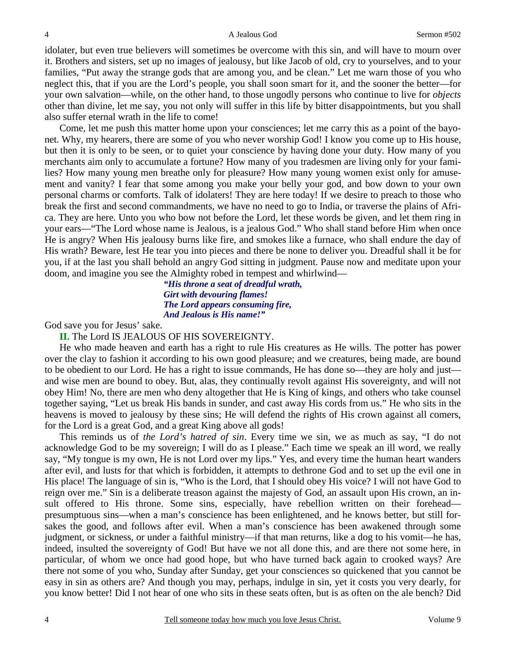idolater, but even true believers will sometimes be overcome with this sin, and will have to mourn over it. Brothers and sisters, set up no images of jealousy, but like Jacob of old, cry to yourselves, and to your families, "Put away the strange gods that are among you, and be clean." Let me warn those of you who neglect this, that if you are the Lord's people, you shall soon smart for it, and the sooner the better—for your own salvation—while, on the other hand, to those ungodly persons who continue to live for *objects* other than divine, let me say, you not only will suffer in this life by bitter disappointments, but you shall also suffer eternal wrath in the life to come!

Come, let me push this matter home upon your consciences; let me carry this as a point of the bayonet. Why, my hearers, there are some of you who never worship God! I know you come up to His house, but then it is only to be seen, or to quiet your conscience by having done your duty. How many of you merchants aim only to accumulate a fortune? How many of you tradesmen are living only for your families? How many young men breathe only for pleasure? How many young women exist only for amusement and vanity? I fear that some among you make your belly your god, and bow down to your own personal charms or comforts. Talk of idolaters! They are here today! If we desire to preach to those who break the first and second commandments, we have no need to go to India, or traverse the plains of Africa. They are here. Unto you who bow not before the Lord, let these words be given, and let them ring in your ears—"The Lord whose name is Jealous, is a jealous God." Who shall stand before Him when once He is angry? When His jealousy burns like fire, and smokes like a furnace, who shall endure the day of His wrath? Beware, lest He tear you into pieces and there be none to deliver you. Dreadful shall it be for you, if at the last you shall behold an angry God sitting in judgment. Pause now and meditate upon your doom, and imagine you see the Almighty robed in tempest and whirlwind—

> *"His throne a seat of dreadful wrath, Girt with devouring flames! The Lord appears consuming fire, And Jealous is His name!"*

God save you for Jesus' sake.

**II.** The Lord IS JEALOUS OF HIS SOVEREIGNTY.

He who made heaven and earth has a right to rule His creatures as He wills. The potter has power over the clay to fashion it according to his own good pleasure; and we creatures, being made, are bound to be obedient to our Lord. He has a right to issue commands, He has done so—they are holy and just and wise men are bound to obey. But, alas, they continually revolt against His sovereignty, and will not obey Him! No, there are men who deny altogether that He is King of kings, and others who take counsel together saying, "Let us break His bands in sunder, and cast away His cords from us." He who sits in the heavens is moved to jealousy by these sins; He will defend the rights of His crown against all comers, for the Lord is a great God, and a great King above all gods!

This reminds us of *the Lord's hatred of sin*. Every time we sin, we as much as say, "I do not acknowledge God to be my sovereign; I will do as I please." Each time we speak an ill word, we really say, "My tongue is my own, He is not Lord over my lips." Yes, and every time the human heart wanders after evil, and lusts for that which is forbidden, it attempts to dethrone God and to set up the evil one in His place! The language of sin is, "Who is the Lord, that I should obey His voice? I will not have God to reign over me." Sin is a deliberate treason against the majesty of God, an assault upon His crown, an insult offered to His throne. Some sins, especially, have rebellion written on their forehead presumptuous sins—when a man's conscience has been enlightened, and he knows better, but still forsakes the good, and follows after evil. When a man's conscience has been awakened through some judgment, or sickness, or under a faithful ministry—if that man returns, like a dog to his vomit—he has, indeed, insulted the sovereignty of God! But have we not all done this, and are there not some here, in particular, of whom we once had good hope, but who have turned back again to crooked ways? Are there not some of you who, Sunday after Sunday, get your consciences so quickened that you cannot be easy in sin as others are? And though you may, perhaps, indulge in sin, yet it costs you very dearly, for you know better! Did I not hear of one who sits in these seats often, but is as often on the ale bench? Did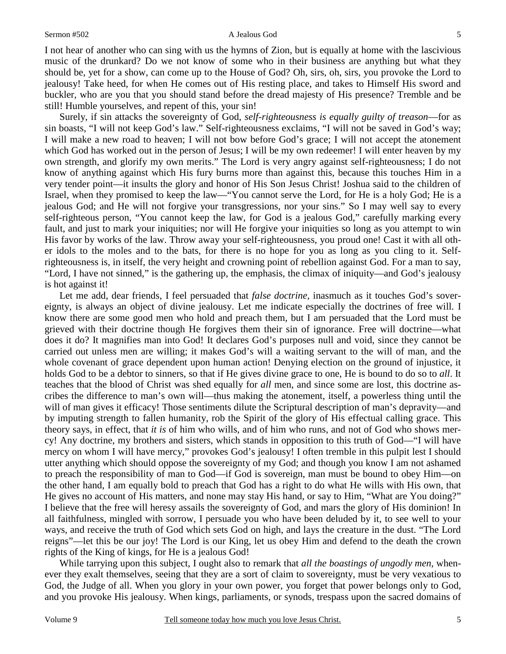I not hear of another who can sing with us the hymns of Zion, but is equally at home with the lascivious music of the drunkard? Do we not know of some who in their business are anything but what they should be, yet for a show, can come up to the House of God? Oh, sirs, oh, sirs, you provoke the Lord to jealousy! Take heed, for when He comes out of His resting place, and takes to Himself His sword and buckler, who are you that you should stand before the dread majesty of His presence? Tremble and be still! Humble yourselves, and repent of this, your sin!

Surely, if sin attacks the sovereignty of God, *self-righteousness is equally guilty of treason*—for as sin boasts, "I will not keep God's law." Self-righteousness exclaims, "I will not be saved in God's way; I will make a new road to heaven; I will not bow before God's grace; I will not accept the atonement which God has worked out in the person of Jesus; I will be my own redeemer! I will enter heaven by my own strength, and glorify my own merits." The Lord is very angry against self-righteousness; I do not know of anything against which His fury burns more than against this, because this touches Him in a very tender point—it insults the glory and honor of His Son Jesus Christ! Joshua said to the children of Israel, when they promised to keep the law—"You cannot serve the Lord, for He is a holy God; He is a jealous God; and He will not forgive your transgressions, nor your sins." So I may well say to every self-righteous person, "You cannot keep the law, for God is a jealous God," carefully marking every fault, and just to mark your iniquities; nor will He forgive your iniquities so long as you attempt to win His favor by works of the law. Throw away your self-righteousness, you proud one! Cast it with all other idols to the moles and to the bats, for there is no hope for you as long as you cling to it. Selfrighteousness is, in itself, the very height and crowning point of rebellion against God. For a man to say, "Lord, I have not sinned," is the gathering up, the emphasis, the climax of iniquity—and God's jealousy is hot against it!

Let me add, dear friends, I feel persuaded that *false doctrine,* inasmuch as it touches God's sovereignty, is always an object of divine jealousy. Let me indicate especially the doctrines of free will. I know there are some good men who hold and preach them, but I am persuaded that the Lord must be grieved with their doctrine though He forgives them their sin of ignorance. Free will doctrine—what does it do? It magnifies man into God! It declares God's purposes null and void, since they cannot be carried out unless men are willing; it makes God's will a waiting servant to the will of man, and the whole covenant of grace dependent upon human action! Denying election on the ground of injustice, it holds God to be a debtor to sinners, so that if He gives divine grace to one, He is bound to do so to *all*. It teaches that the blood of Christ was shed equally for *all* men, and since some are lost, this doctrine ascribes the difference to man's own will—thus making the atonement, itself, a powerless thing until the will of man gives it efficacy! Those sentiments dilute the Scriptural description of man's depravity—and by imputing strength to fallen humanity, rob the Spirit of the glory of His effectual calling grace. This theory says, in effect, that *it is* of him who wills, and of him who runs, and not of God who shows mercy! Any doctrine, my brothers and sisters, which stands in opposition to this truth of God—"I will have mercy on whom I will have mercy," provokes God's jealousy! I often tremble in this pulpit lest I should utter anything which should oppose the sovereignty of my God; and though you know I am not ashamed to preach the responsibility of man to God—if God is sovereign, man must be bound to obey Him—on the other hand, I am equally bold to preach that God has a right to do what He wills with His own, that He gives no account of His matters, and none may stay His hand, or say to Him, "What are You doing?" I believe that the free will heresy assails the sovereignty of God, and mars the glory of His dominion! In all faithfulness, mingled with sorrow, I persuade you who have been deluded by it, to see well to your ways, and receive the truth of God which sets God on high, and lays the creature in the dust. "The Lord reigns"—let this be our joy! The Lord is our King, let us obey Him and defend to the death the crown rights of the King of kings, for He is a jealous God!

While tarrying upon this subject, I ought also to remark that *all the boastings of ungodly men,* whenever they exalt themselves, seeing that they are a sort of claim to sovereignty, must be very vexatious to God, the Judge of all. When you glory in your own power, you forget that power belongs only to God, and you provoke His jealousy. When kings, parliaments, or synods, trespass upon the sacred domains of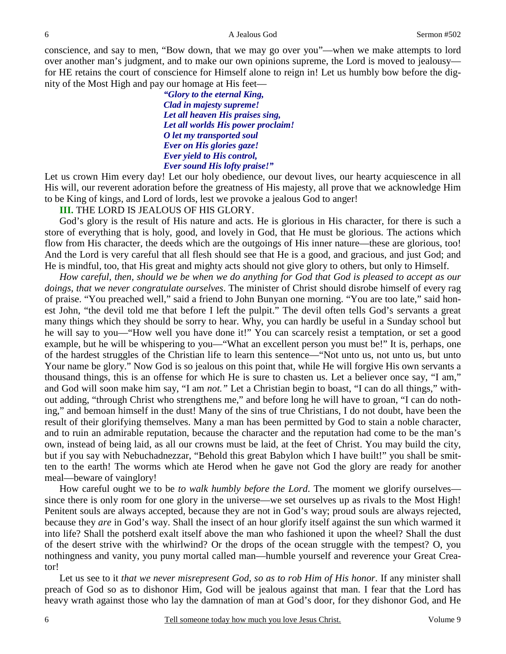#### A Jealous God Sermon #502

conscience, and say to men, "Bow down, that we may go over you"—when we make attempts to lord over another man's judgment, and to make our own opinions supreme, the Lord is moved to jealousy for HE retains the court of conscience for Himself alone to reign in! Let us humbly bow before the dignity of the Most High and pay our homage at His feet—

> *"Glory to the eternal King, Clad in majesty supreme! Let all heaven His praises sing, Let all worlds His power proclaim! O let my transported soul Ever on His glories gaze! Ever yield to His control, Ever sound His lofty praise!"*

Let us crown Him every day! Let our holy obedience, our devout lives, our hearty acquiescence in all His will, our reverent adoration before the greatness of His majesty, all prove that we acknowledge Him to be King of kings, and Lord of lords, lest we provoke a jealous God to anger!

### **III.** THE LORD IS JEALOUS OF HIS GLORY.

God's glory is the result of His nature and acts. He is glorious in His character, for there is such a store of everything that is holy, good, and lovely in God, that He must be glorious. The actions which flow from His character, the deeds which are the outgoings of His inner nature—these are glorious, too! And the Lord is very careful that all flesh should see that He is a good, and gracious, and just God; and He is mindful, too, that His great and mighty acts should not give glory to others, but only to Himself.

*How careful, then, should we be when we do anything for God that God is pleased to accept as our doings, that we never congratulate ourselves*. The minister of Christ should disrobe himself of every rag of praise. "You preached well," said a friend to John Bunyan one morning. "You are too late," said honest John, "the devil told me that before I left the pulpit." The devil often tells God's servants a great many things which they should be sorry to hear. Why, you can hardly be useful in a Sunday school but he will say to you—"How well you have done it!" You can scarcely resist a temptation, or set a good example, but he will be whispering to you—"What an excellent person you must be!" It is, perhaps, one of the hardest struggles of the Christian life to learn this sentence—"Not unto us, not unto us, but unto Your name be glory." Now God is so jealous on this point that, while He will forgive His own servants a thousand things, this is an offense for which He is sure to chasten us. Let a believer once say, "I am," and God will soon make him say, "I am *not."* Let a Christian begin to boast, "I can do all things," without adding, "through Christ who strengthens me," and before long he will have to groan, "I can do nothing," and bemoan himself in the dust! Many of the sins of true Christians, I do not doubt, have been the result of their glorifying themselves. Many a man has been permitted by God to stain a noble character, and to ruin an admirable reputation, because the character and the reputation had come to be the man's own, instead of being laid, as all our crowns must be laid, at the feet of Christ. You may build the city, but if you say with Nebuchadnezzar, "Behold this great Babylon which I have built!" you shall be smitten to the earth! The worms which ate Herod when he gave not God the glory are ready for another meal—beware of vainglory!

How careful ought we to be *to walk humbly before the Lord*. The moment we glorify ourselves since there is only room for one glory in the universe—we set ourselves up as rivals to the Most High! Penitent souls are always accepted, because they are not in God's way; proud souls are always rejected, because they *are* in God's way. Shall the insect of an hour glorify itself against the sun which warmed it into life? Shall the potsherd exalt itself above the man who fashioned it upon the wheel? Shall the dust of the desert strive with the whirlwind? Or the drops of the ocean struggle with the tempest? O, you nothingness and vanity, you puny mortal called man—humble yourself and reverence your Great Creator!

Let us see to it *that we never misrepresent God, so as to rob Him of His honor*. If any minister shall preach of God so as to dishonor Him, God will be jealous against that man. I fear that the Lord has heavy wrath against those who lay the damnation of man at God's door, for they dishonor God, and He

6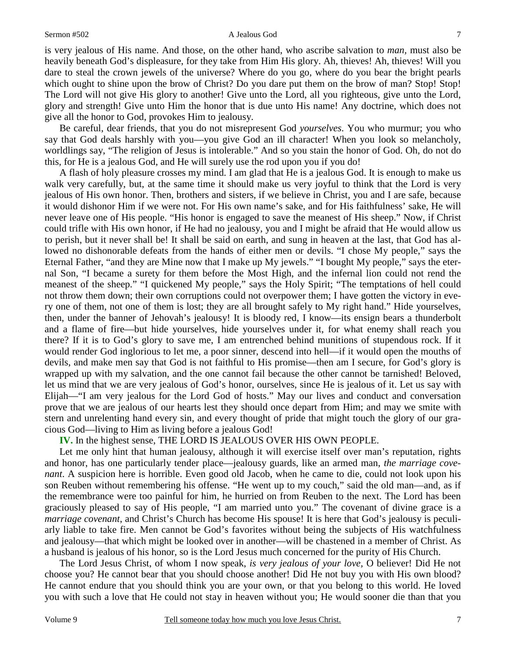#### Sermon #502 A Jealous God

is very jealous of His name. And those, on the other hand, who ascribe salvation to *man,* must also be heavily beneath God's displeasure, for they take from Him His glory. Ah, thieves! Ah, thieves! Will you dare to steal the crown jewels of the universe? Where do you go, where do you bear the bright pearls which ought to shine upon the brow of Christ? Do you dare put them on the brow of man? Stop! Stop! The Lord will not give His glory to another! Give unto the Lord, all you righteous, give unto the Lord, glory and strength! Give unto Him the honor that is due unto His name! Any doctrine, which does not give all the honor to God, provokes Him to jealousy.

Be careful, dear friends, that you do not misrepresent God *yourselves*. You who murmur; you who say that God deals harshly with you—you give God an ill character! When you look so melancholy, worldlings say, "The religion of Jesus is intolerable." And so you stain the honor of God. Oh, do not do this, for He is a jealous God, and He will surely use the rod upon you if you do!

A flash of holy pleasure crosses my mind. I am glad that He is a jealous God. It is enough to make us walk very carefully, but, at the same time it should make us very joyful to think that the Lord is very jealous of His own honor. Then, brothers and sisters, if we believe in Christ, you and I are safe, because it would dishonor Him if we were not. For His own name's sake, and for His faithfulness' sake, He will never leave one of His people. "His honor is engaged to save the meanest of His sheep." Now, if Christ could trifle with His own honor, if He had no jealousy, you and I might be afraid that He would allow us to perish, but it never shall be! It shall be said on earth, and sung in heaven at the last, that God has allowed no dishonorable defeats from the hands of either men or devils. "I chose My people," says the Eternal Father, "and they are Mine now that I make up My jewels." "I bought My people," says the eternal Son, "I became a surety for them before the Most High, and the infernal lion could not rend the meanest of the sheep." "I quickened My people," says the Holy Spirit; "The temptations of hell could not throw them down; their own corruptions could not overpower them; I have gotten the victory in every one of them, not one of them is lost; they are all brought safely to My right hand." Hide yourselves, then, under the banner of Jehovah's jealousy! It is bloody red, I know—its ensign bears a thunderbolt and a flame of fire—but hide yourselves, hide yourselves under it, for what enemy shall reach you there? If it is to God's glory to save me, I am entrenched behind munitions of stupendous rock. If it would render God inglorious to let me, a poor sinner, descend into hell—if it would open the mouths of devils, and make men say that God is not faithful to His promise—then am I secure, for God's glory is wrapped up with my salvation, and the one cannot fail because the other cannot be tarnished! Beloved, let us mind that we are very jealous of God's honor, ourselves, since He is jealous of it. Let us say with Elijah—"I am very jealous for the Lord God of hosts." May our lives and conduct and conversation prove that we are jealous of our hearts lest they should once depart from Him; and may we smite with stern and unrelenting hand every sin, and every thought of pride that might touch the glory of our gracious God—living to Him as living before a jealous God!

**IV.** In the highest sense, THE LORD IS JEALOUS OVER HIS OWN PEOPLE.

Let me only hint that human jealousy, although it will exercise itself over man's reputation, rights and honor, has one particularly tender place—jealousy guards, like an armed man, *the marriage covenant*. A suspicion here is horrible. Even good old Jacob, when he came to die, could not look upon his son Reuben without remembering his offense. "He went up to my couch," said the old man—and, as if the remembrance were too painful for him, he hurried on from Reuben to the next. The Lord has been graciously pleased to say of His people, "I am married unto you." The covenant of divine grace is a *marriage covenant*, and Christ's Church has become His spouse! It is here that God's jealousy is peculiarly liable to take fire. Men cannot be God's favorites without being the subjects of His watchfulness and jealousy—that which might be looked over in another—will be chastened in a member of Christ. As a husband is jealous of his honor, so is the Lord Jesus much concerned for the purity of His Church.

The Lord Jesus Christ, of whom I now speak, *is very jealous of your love,* O believer! Did He not choose you? He cannot bear that you should choose another! Did He not buy you with His own blood? He cannot endure that you should think you are your own, or that you belong to this world. He loved you with such a love that He could not stay in heaven without you; He would sooner die than that you